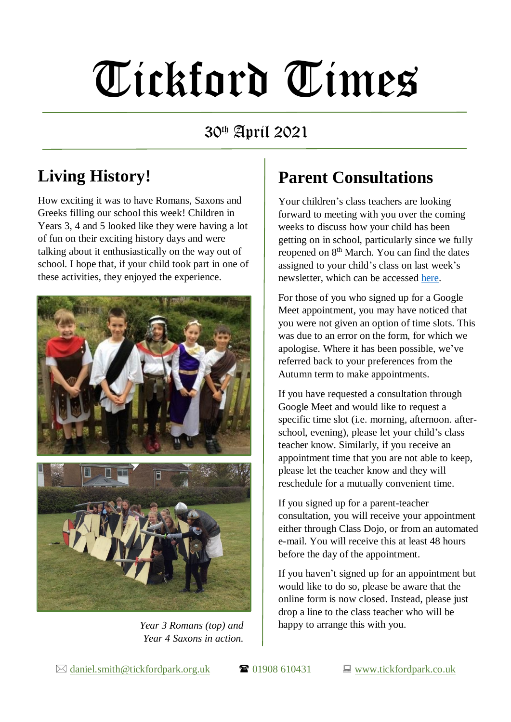# Tickford Times

30th April 2021

# **Living History!**

How exciting it was to have Romans, Saxons and Greeks filling our school this week! Children in Years 3, 4 and 5 looked like they were having a lot of fun on their exciting history days and were talking about it enthusiastically on the way out of school. I hope that, if your child took part in one of these activities, they enjoyed the experience.



*Year 3 Romans (top) and Year 4 Saxons in action.*

## **Parent Consultations**

Your children's class teachers are looking forward to meeting with you over the coming weeks to discuss how your child has been getting on in school, particularly since we fully reopened on 8<sup>th</sup> March. You can find the dates assigned to your child's class on last week's newsletter, which can be accessed [here.](https://www.tickfordpark.co.uk/uploads/1/0/8/8/10881774/tt_23.4.21.pdf)

For those of you who signed up for a Google Meet appointment, you may have noticed that you were not given an option of time slots. This was due to an error on the form, for which we apologise. Where it has been possible, we've referred back to your preferences from the Autumn term to make appointments.

If you have requested a consultation through Google Meet and would like to request a specific time slot (i.e. morning, afternoon. afterschool, evening), please let your child's class teacher know. Similarly, if you receive an appointment time that you are not able to keep, please let the teacher know and they will reschedule for a mutually convenient time.

If you signed up for a parent-teacher consultation, you will receive your appointment either through Class Dojo, or from an automated e-mail. You will receive this at least 48 hours before the day of the appointment.

If you haven't signed up for an appointment but would like to do so, please be aware that the online form is now closed. Instead, please just drop a line to the class teacher who will be happy to arrange this with you.

 $\boxtimes$  [daniel.smith@tickfordpark.org.uk](mailto:daniel.smith@tickfordpark.org.uk)  $\blacksquare$  01908 610431  $\blacksquare$  [www.tickfordpark.co.uk](http://www.tickfordpark.co.uk/)